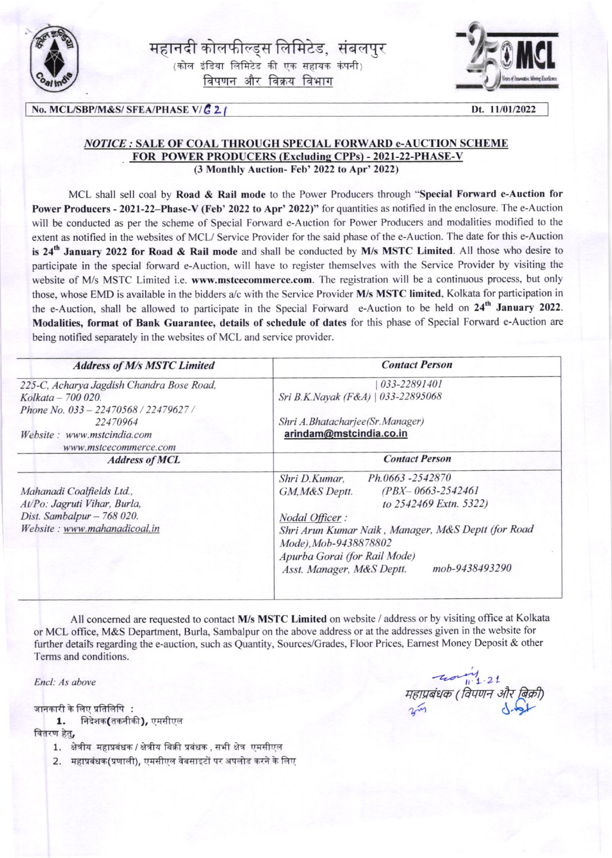

महानदी कोलफील्ड्स लिमिटेड, संबलपुर  $(\overline{a})$ लेल इंडिया लिमिटेड की एक सहायक कंपनी विपणन और विक्रय विभाग



## No. MCL/SBP/M&S/ SFEA/PHASE V/ $\mathcal{C}$  2 | Dt. 11/01/2022

## NOTICE : SALE OF COAL THROUGH SPECIAL FORWARD e-AUCTION SCHEME FOR POWER PRODUCERS (Excluding CPPs) - 2021-22-PHASE-V (3 Monthly Auction- Feb' 2022 to Apr' 2022)

MCL shall sell coal by Road & Rail mode to the Power Producers through "Special Forward e-Auction for Power Producers - 2021-22-Phase-V (Feb' 2022 to Apr' 2022)" for quantities as notified in the enclosure. The e-Auction will be conducted as per the scheme of Special Forward e-Auction for Power Producers and modalities modified to the extent as notified in the websites of MCL/ Service Provider for the said phase of the e-Auction. The date for this e-Auction is  $24<sup>th</sup>$  January 2022 for Road & Rail mode and shall be conducted by M/s MSTC Limited. All those who desire to participate in the special forward e-Auction. will have to register themselves with the Service Provider by visiting the website of M/s MSTC Limited i.e. www.mstcecommerce.com. The registration will be a continuous process, but only those, whose EMD is available in the bidders a/c with the Service Provider M/s MSTC limited, Kolkata for participation in the e-Auction, shall be allowed to participate in the Special Forward e-Auction to be held on 24<sup>th</sup> January 2022. Modalities, format of Bank Guarantee, details of schedule of dates for this phase of Special Forward e-Auction are being notified separately in the websites of MCL and service provider.

| <b>Contact Person</b>                                                                                                                     |  |  |  |                                                                                                                                                                                                                                                                                          |
|-------------------------------------------------------------------------------------------------------------------------------------------|--|--|--|------------------------------------------------------------------------------------------------------------------------------------------------------------------------------------------------------------------------------------------------------------------------------------------|
| 033-22891401<br>Sri B.K.Nayak (F&A)   033-22895068<br>Shri A.Bhatacharjee(Sr.Manager)<br>arindam@mstcindia.co.in<br><b>Contact Person</b> |  |  |  |                                                                                                                                                                                                                                                                                          |
|                                                                                                                                           |  |  |  | Ph.0663-2542870<br>Shri D.Kumar.<br>$(PBX - 0663 - 2542461)$<br>GM, M&S Deptt.<br>to 2542469 Extn. 5322)<br>Nodal Officer:<br>Shri Arun Kumar Naik, Manager, M&S Deptt (for Road<br>Mode), Mob-9438878802<br>Apurba Gorai (for Rail Mode)<br>mob-9438493290<br>Asst. Manager, M&S Deptt. |
|                                                                                                                                           |  |  |  |                                                                                                                                                                                                                                                                                          |

All concerned are requested to contact M/s MSTC Limited on website / address or by visiting office at Kolkata or MCL office, M&S Department, Burla, Sambalpur on the above address or at the addresses given in the website for further details regarding the e-auction, such as Quantity, Sources/Grades, Floor Prices, Earnest Money Deposit & other Terms and conditions.

Encl: As above

जानकारी के लिए प्रतिलिपि:

1. निदेशक(तकनीकी), एमसीएल

वितरण हेत.

- 1. क्षेत्रीय महाप्रबंधक / क्षेत्रीय बिक्री प्रबंधक , सभी क्षेत्र एमसीएल
- 2. महाप्रबंधक(प्रणाली), एमसीएल वेबसाइटों पर अपलोड करने के लिए

 $40<sup>4</sup>$ महाप्रबंधक (विपणन और बिक्री,<br>Primary - <mark>S</mark>